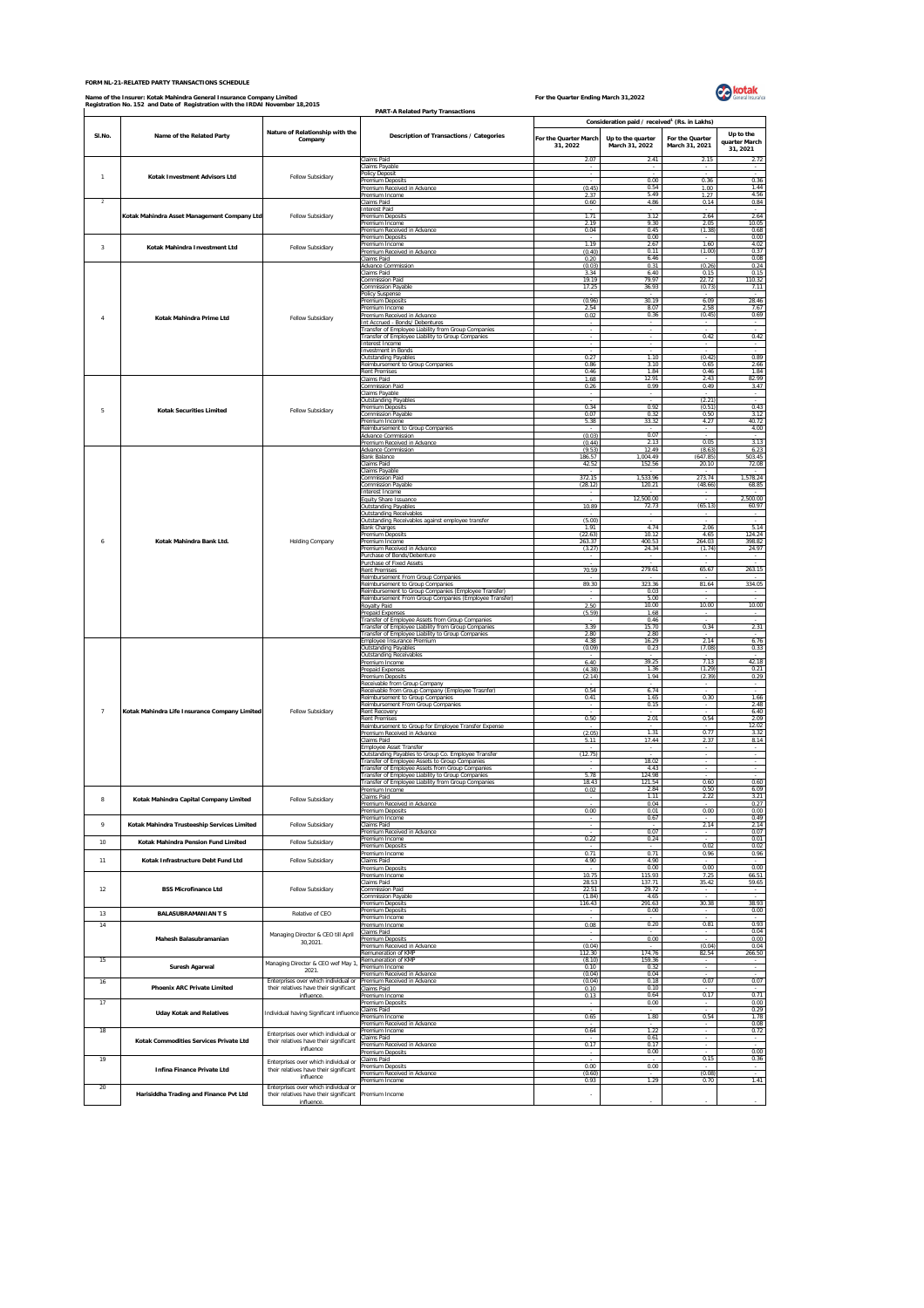## **FORM NL-21-RELATED PARTY TRANSACTIONS SCHEDULE**

## Name of the Insurer: Kotak Mahindra General Insurance Company Limited<br>Registration No. 152 and Date of Registration with the IRDAI November 18,2015



|                         | Registration No. 152 and Date of Registration with the IRDAI November 18,2015 |                                                                                | <b>PART-A Related Party Transactions</b>                                                                                                                    |                                  |                                                           |                                   |                                        |
|-------------------------|-------------------------------------------------------------------------------|--------------------------------------------------------------------------------|-------------------------------------------------------------------------------------------------------------------------------------------------------------|----------------------------------|-----------------------------------------------------------|-----------------------------------|----------------------------------------|
|                         |                                                                               | Nature of Relationship with the                                                |                                                                                                                                                             |                                  | Consideration paid / received <sup>1</sup> (Rs. in Lakhs) |                                   |                                        |
| SI.No.                  | Name of the Related Party                                                     | Company                                                                        | Description of Transactions / Categories                                                                                                                    | For the Quarter March<br>31.2022 | Up to the quarter<br>March 31, 2022                       | For the Quarter<br>March 31, 2021 | Up to the<br>quarter March<br>31, 2021 |
|                         |                                                                               |                                                                                | Claims Paid                                                                                                                                                 | 2.07                             | 2.41                                                      | 2.15                              | 2.72                                   |
| $\overline{1}$          | Kotak Investment Advisors Ltd                                                 | Fellow Subsidiary                                                              | Claims Payable<br>Policy Deposit<br>Premium Deposits                                                                                                        | $\sim$                           | 0.00                                                      | 0.36                              | 0.36                                   |
|                         |                                                                               |                                                                                | Premium Received in Advance<br>Premium Income                                                                                                               | (0.45)<br>2.37                   | 0.54<br>5.49                                              | 1.00<br>1.27                      | 1 44<br>4.56                           |
| $\overline{2}$          |                                                                               |                                                                                | Claims Paid<br>nterest Paid                                                                                                                                 | 0.60                             | 4.86                                                      | 0.14                              | 0.84                                   |
|                         | Kotak Mahindra Asset Management Company Ltd                                   | Fellow Subsidiary                                                              | Premium Deposits<br>Premium Income<br>Premium Received in Advance                                                                                           | 1.71<br>2.19<br>0.04             | 3.12<br>9.30<br>0.45                                      | 2.64<br>2.05<br>(1.38)            | 2.64<br>10.05<br>0.68                  |
| $\overline{\mathbf{3}}$ | Kotak Mahindra Investment Ltd                                                 |                                                                                | Premium Deposits<br>Premium Income                                                                                                                          | 1.19                             | 0.00<br>2.67                                              | 1.60                              | 0.00<br>4.02                           |
|                         |                                                                               | Fellow Subsidiary                                                              | Premium Received in Advance<br>laims Paid                                                                                                                   | (0.40)<br>0.20                   | 0.11<br>6.46                                              | (1.00)                            | 0.37<br>0.08                           |
|                         | Kotak Mahindra Prime Ltd                                                      | Fellow Subsidiary                                                              | <b>Advance Commission</b><br>Claims Paid                                                                                                                    | (0.03)<br>3.34<br>19.19          | 0.31<br>6.40<br>79.97                                     | (0.26)<br>0.15<br>22.72           | 0.24<br>0.15<br>110.32                 |
|                         |                                                                               |                                                                                | <b>Commission Paid</b><br><b>Commission Pavable</b><br>Policy Suspense                                                                                      | 17.25                            | 36.93                                                     | (0.73)                            | 7.11                                   |
| $\sqrt{4}$              |                                                                               |                                                                                | <b>Premium Deposits</b><br>Premium Income                                                                                                                   | (0.96)<br>2.54                   | 30.19<br>8.07                                             | 6.09<br>2.58                      | 28.46<br>7.67                          |
|                         |                                                                               |                                                                                | Premium Received in Advance<br>Int Accrued - Bonds/ Debentures                                                                                              | 0.02                             | 0.36                                                      | (0.45)                            | 0.69                                   |
|                         |                                                                               |                                                                                | ransfer of Employee Liability from Group Companies<br>Transfer of Employee Liability to Group Companies<br>Interest Income                                  |                                  |                                                           | 0.42                              | 0.42                                   |
|                         |                                                                               |                                                                                | <b>Investment</b> in Bonds<br><b>Outstanding Payables</b>                                                                                                   | 0.27                             | 1 1 0                                                     | (0.42)                            | 0.89                                   |
|                         |                                                                               |                                                                                | Reimbursement to Group Companies<br><b>Rent Premises</b>                                                                                                    | 0.86<br>0.46                     | 3 1 0<br>184                                              | 0.65<br>0.46                      | 2.66<br>184                            |
|                         |                                                                               |                                                                                | Claims Paid<br>Commission Paid                                                                                                                              | 1.68<br>0.26                     | 12 91<br>0.99                                             | 2.43<br>0.49                      | 82.99<br>3.47                          |
|                         |                                                                               |                                                                                | Claims Payable<br><b>Outstanding Payable</b><br>Premium Deposits                                                                                            | 0.34                             | 0.92                                                      | (2.21)<br>(0.51)                  | 0.43                                   |
| 5                       | <b>Kotak Securities Limited</b>                                               | Fellow Subsidiary                                                              | <b>Commission Payable</b><br>remium Income                                                                                                                  | 0.07<br>5.38                     | 0.32<br>33.32                                             | 0.50<br>4.27                      | 3.12<br>40.72                          |
|                         |                                                                               |                                                                                | Reimbursement to Group Companies<br>Advance Commission                                                                                                      | (0.03)                           | 0.07                                                      |                                   | 4.00                                   |
|                         |                                                                               |                                                                                | Premium Received in Advance<br><b>Advance Commission</b><br><b>Bank Balance</b>                                                                             | (0.44)<br>(9.53)<br>186.57       | 2.13<br>12.49<br>1,004.49                                 | 0.05<br>(8.63)<br>(647.85)        | 3.13<br>6.23<br>503.45                 |
|                         |                                                                               | Holding Company                                                                | laims Paid<br>Claims Payable                                                                                                                                | 42.52                            | 152.56                                                    | 20.10                             | 72.08                                  |
|                         |                                                                               |                                                                                | <b>Commission Paid</b><br><b>Commission Payable</b>                                                                                                         | 372.15<br>(28.12)                | 1,533.96<br>120.21                                        | 273.74<br>(48.66)                 | 1,578.24<br>68.85                      |
|                         |                                                                               |                                                                                | nterest Income<br>Equity Share Issuance                                                                                                                     | 10.89                            | 12,500.00<br>72.73                                        | (65.13)                           | 2,500.00                               |
|                         |                                                                               |                                                                                | <b>Outstanding Payables</b><br><b>Outstanding Receivables</b><br>Outstanding Receivables against employee transfer                                          | (5.00)                           |                                                           |                                   | 60.97                                  |
|                         | Kotak Mahindra Bank Ltd.                                                      |                                                                                | <b>Bank Charges</b><br>Premium Deposits                                                                                                                     | 1 91<br>(22.63)                  | 4.74<br>10.12                                             | 2.06<br>4.65                      | 5.14<br>124.24                         |
| 6                       |                                                                               |                                                                                | Premium Income<br>Premium Received in Advance                                                                                                               | 263.37<br>(3.27)                 | 400.53<br>24.34                                           | 264.03<br>(1.74)                  | 398.82<br>24.97                        |
|                         |                                                                               |                                                                                | Purchase of Bonds/Debenture<br>Purchase of Fixed Assets<br><b>Rent Premises</b>                                                                             | $\sim$<br>70.59                  | $\sim$<br>279.61                                          | $\sim$<br>65.67                   | $\sim$<br>263.15                       |
|                         |                                                                               |                                                                                | Reimbursement From Group Companies<br>Reimbursement to Group Companies                                                                                      | 89.30                            | 323.36                                                    | 81.64                             | 334.05                                 |
|                         |                                                                               |                                                                                | Reimbursement to Group Companies (Employee Transfer)<br>Reimbursement From Group Companies (Employee Transfer)                                              |                                  | 0.03<br>5.00                                              |                                   |                                        |
|                         |                                                                               |                                                                                | Royalty Paid<br>Prepaid Expenses                                                                                                                            | 2.50<br>(5.59)                   | 10.00<br>1.68                                             | 10.00                             | 10.00                                  |
|                         |                                                                               |                                                                                | Transfer of Employee Assets from Group Companies<br>Transfer of Employee Liability from Group Companies<br>Transfer of Employee Liability to Group Companie | 3.39<br>2.80                     | 0.46<br>15.70<br>2.80                                     | 0.34                              | 2.31                                   |
|                         | Kotak Mahindra Life Insurance Company Limited                                 |                                                                                | Employee Insurance Premium<br><b>Outstanding Payables</b>                                                                                                   | 4.38<br>(0.09)                   | 16.29<br>0.23                                             | 2.14<br>(7.08)                    | 6.76<br>0.33                           |
|                         |                                                                               | Fellow Subsidiary                                                              | Outstanding Receivables<br>Premium Income                                                                                                                   | 6.40                             | 39.25                                                     | 7.13                              | 42.18                                  |
|                         |                                                                               |                                                                                | <b>Prepaid Expenses</b><br>Premium Deposits<br>Receivable from Group Company                                                                                | (4.38)<br>(2.14)                 | 1.36<br>1.94                                              | (1.29)<br>(2.39)                  | 0.21<br>0.29                           |
|                         |                                                                               |                                                                                | Receivable from Group Company (Employee Trasnfer)<br>Reimbursement to Group Companies                                                                       | 0.54<br>0.41                     | 6.74<br>1.65                                              | 0.30                              | 1.66                                   |
| $\overline{7}$          |                                                                               |                                                                                | Reimbursement From Group Companies<br><b>Rent Recovery</b>                                                                                                  | $\sim$                           | 0.15                                                      | $\sim$                            | 2.48<br>6.40                           |
|                         |                                                                               |                                                                                | <b>Rent Premises</b><br>Reimbursement to Group for Employee Transfer Expense                                                                                | 0.50                             | 2.01<br>1.31                                              | 0.54<br>0.77                      | 2.09<br>12.02<br>3.32                  |
|                         |                                                                               |                                                                                | Premium Received in Advance<br>Claims Paid<br>Employee Asset Transfer                                                                                       | (2.05)<br>5.11                   | 17.44                                                     | 2.37                              | 8.14                                   |
|                         |                                                                               |                                                                                | Outstanding Payables to Group Co. Employee Transfer<br>ransfer of Employee Assets to Group Companies                                                        | (12.75)                          | 18.02                                                     |                                   |                                        |
|                         |                                                                               |                                                                                | ransfer of Employee Assets from Group Companies<br>ransfer of Employee Liability to Group Companies                                                         | 5.78                             | 4.43<br>124.98                                            |                                   |                                        |
|                         |                                                                               |                                                                                | ransfer of Employee Liability from Group Companies<br>Premium Income<br>laims Paid                                                                          | 18.43<br>0.02                    | 121.54<br>2.84<br>1.11                                    | 0.60<br>0.50<br>2.22              | 0.60<br>6.09<br>3.21                   |
|                         | Kotak Mahindra Capital Company Limited                                        | Fellow Subsidiary                                                              | Premium Received in Advance<br>Premium Deposits                                                                                                             | 0.00                             | 0.04<br>0.01                                              | 0.00                              | 0.27<br>0.00                           |
| 9                       | Kotak Mahindra Trusteeship Services Limited                                   | Fellow Subsidiary                                                              | Premium Income<br>Claims Paid                                                                                                                               |                                  | 0.67                                                      | 2.14                              | 0.49<br>2.14                           |
| 10                      | Kotak Mahindra Pension Fund Limited                                           | Fellow Subsidiary                                                              | Premium Received in Advance<br>Premium Income<br>Premium Deposits                                                                                           | 0.22                             | 0.07<br>0.24                                              | 0.02                              | 0.07<br>0.01<br>0.02                   |
| 11                      | Kotak Infrastructure Debt Fund Ltd                                            | Fellow Subsidiary                                                              | Premium Income<br>Claims Paid                                                                                                                               | 0.71<br>4.90                     | 0.71<br>4 9 0                                             | 0.96<br>$\sim$                    | 0.96<br>$\sim$                         |
|                         |                                                                               |                                                                                | <b>Premium Deposits</b><br>Premium Income                                                                                                                   | 10.75                            | 0.00<br>115.93                                            | 0.00<br>7.25                      | 0.00<br>66.51                          |
| 12                      | <b>BSS Microfinance Ltd</b>                                                   | Fellow Subsidiary                                                              | laims Paid<br><b>Commission Paid</b>                                                                                                                        | 28.53<br>22.51                   | 137.71<br>29.72                                           | 35.42                             | 59.65                                  |
|                         |                                                                               |                                                                                | <b>Commission Payable</b><br><b>Premium Deposits</b><br><b>Premium Deposits</b>                                                                             | (1.84)<br>116.43                 | 4.65<br>291.63<br>0.00                                    | 30.38                             | 38.93<br>0.00                          |
| 13<br>$14\,$            | <b>BALASUBRAMANIAN T S</b>                                                    | Relative of CEO                                                                | Premium Income<br>Premium Income                                                                                                                            | 0.08                             | 0.20                                                      | 0.81                              | 0.93                                   |
|                         | Mahesh Balasubramanian                                                        | Managing Director & CEO till April<br>30,2021.                                 | Claims Paid<br>Premium Deposits                                                                                                                             |                                  | 0.00                                                      |                                   | 0.04<br>0.00                           |
| 15                      |                                                                               |                                                                                | Premium Received in Advance<br>Remuneration of KMP<br>Remuneration of KMP                                                                                   | (0.04)<br>112.30<br>(8.10)       | 174.76<br>159.36                                          | (0.04)<br>82.54                   | 0.04<br>266.50                         |
|                         | Suresh Agarwal                                                                | Managing Director & CEO wef May 1<br>2021.                                     | Premium Income<br>remium Received in Advance                                                                                                                | 0.10<br>(0.04)                   | 0.32<br>0.04                                              |                                   | $\sim$<br>$\sim$                       |
| 16                      | <b>Phoenix ARC Private Limited</b>                                            | Enterprises over which individual or<br>their relatives have their significant | Premium Received in Advance<br>laims Paid                                                                                                                   | (0.04)<br>0.10                   | 0.18<br>0.10                                              | 0.07                              | 0.07                                   |
| 17                      |                                                                               | influence.                                                                     | remium Income<br>Premium Deposits<br>Claims Paid                                                                                                            | 0.13                             | 0.64<br>0.00                                              | 0.17                              | 0.71<br>0.00<br>0.29                   |
|                         | <b>Uday Kotak and Relatives</b>                                               | Individual having Significant influence                                        | Premium Income<br>Premium Received in Advance                                                                                                               | 0.65                             | 1.80                                                      | 0.54                              | 1.78<br>0.08                           |
| 18                      | Kotak Commodities Services Private Ltd                                        | Enterprises over which individual or<br>their relatives have their significant | Premium Income<br>Claims Paid                                                                                                                               | 0.64                             | 1.22<br>0.61                                              | $\sim$                            | 0.72<br>$\sim$                         |
|                         |                                                                               | influence                                                                      | Premium Received in Advance<br>Premium Deposits                                                                                                             | 0.17                             | 0.17<br>0.00                                              | $\sim$                            | 0.00                                   |
| 19                      | Infina Finance Private Ltd                                                    | Enterprises over which individual or<br>their relatives have their significant | Claims Paid<br>Premium Deposits<br>Premium Received in Advance                                                                                              | 0.00<br>(0.60)                   | 0.00                                                      | 0.15<br>(0.08)                    | 0.36                                   |
| 20                      |                                                                               | influence<br>Enterprises over which individual or                              | Premium Income                                                                                                                                              | 0.93                             | 1.29                                                      | 0.70                              | 1.41                                   |
|                         | Harisiddha Trading and Finance Pvt Ltd                                        | their relatives have their significant<br>influence                            | Premium Income                                                                                                                                              |                                  |                                                           |                                   |                                        |